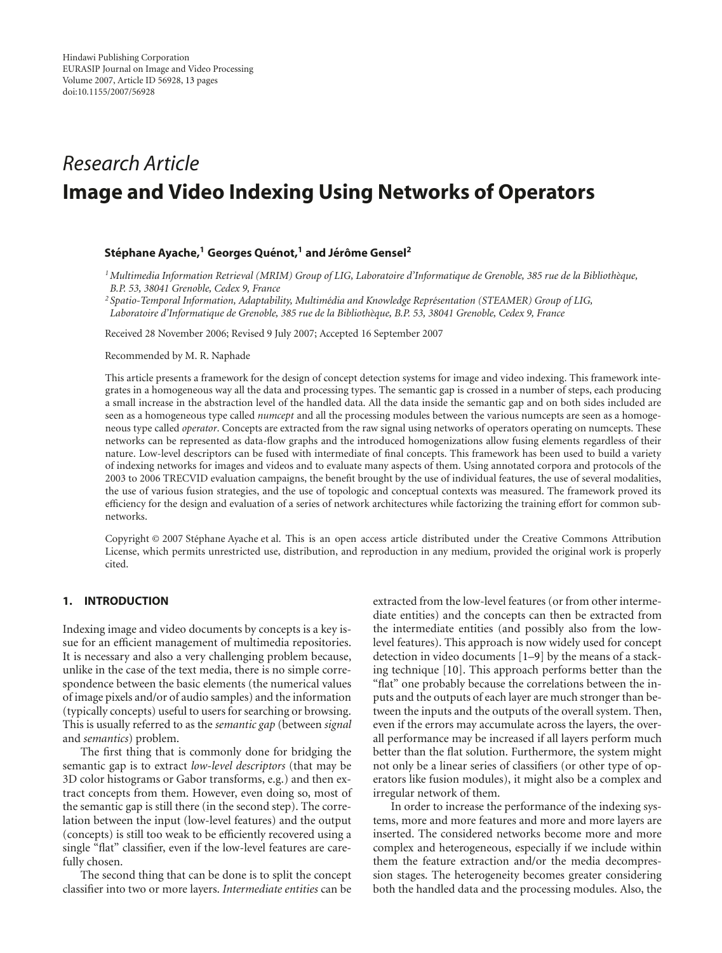# *Research Article* **Image and Video Indexing Using Networks of Operators**

# **Stephane Ayache, ´ <sup>1</sup> Georges Quenot, ´ <sup>1</sup> and Jer´ ome Gensel ˆ <sup>2</sup>**

*1Multimedia Information Retrieval (MRIM) Group of LIG, Laboratoire d'Informatique de Grenoble, 385 rue de la Biblioth`eque, B.P. 53, 38041 Grenoble, Cedex 9, France*

<sup>2</sup> Spatio-Temporal Information, Adaptability, Multimédia and Knowledge Représentation (STEAMER) Group of LIG, *Laboratoire d'Informatique de Grenoble, 385 rue de la Biblioth`eque, B.P. 53, 38041 Grenoble, Cedex 9, France*

Received 28 November 2006; Revised 9 July 2007; Accepted 16 September 2007

Recommended by M. R. Naphade

This article presents a framework for the design of concept detection systems for image and video indexing. This framework integrates in a homogeneous way all the data and processing types. The semantic gap is crossed in a number of steps, each producing a small increase in the abstraction level of the handled data. All the data inside the semantic gap and on both sides included are seen as a homogeneous type called *numcept* and all the processing modules between the various numcepts are seen as a homogeneous type called *operator*. Concepts are extracted from the raw signal using networks of operators operating on numcepts. These networks can be represented as data-flow graphs and the introduced homogenizations allow fusing elements regardless of their nature. Low-level descriptors can be fused with intermediate of final concepts. This framework has been used to build a variety of indexing networks for images and videos and to evaluate many aspects of them. Using annotated corpora and protocols of the 2003 to 2006 TRECVID evaluation campaigns, the benefit brought by the use of individual features, the use of several modalities, the use of various fusion strategies, and the use of topologic and conceptual contexts was measured. The framework proved its efficiency for the design and evaluation of a series of network architectures while factorizing the training effort for common subnetworks.

Copyright © 2007 Stephane Ayache et al. This is an open access article distributed under the Creative Commons Attribution ´ License, which permits unrestricted use, distribution, and reproduction in any medium, provided the original work is properly cited.

## **1. INTRODUCTION**

Indexing image and video documents by concepts is a key issue for an efficient management of multimedia repositories. It is necessary and also a very challenging problem because, unlike in the case of the text media, there is no simple correspondence between the basic elements (the numerical values of image pixels and/or of audio samples) and the information (typically concepts) useful to users for searching or browsing. This is usually referred to as the *semantic gap* (between *signal* and *semantics*) problem.

The first thing that is commonly done for bridging the semantic gap is to extract *low-level descriptors* (that may be 3D color histograms or Gabor transforms, e.g.) and then extract concepts from them. However, even doing so, most of the semantic gap is still there (in the second step). The correlation between the input (low-level features) and the output (concepts) is still too weak to be efficiently recovered using a single "flat" classifier, even if the low-level features are carefully chosen.

The second thing that can be done is to split the concept classifier into two or more layers. *Intermediate entities* can be extracted from the low-level features (or from other intermediate entities) and the concepts can then be extracted from the intermediate entities (and possibly also from the lowlevel features). This approach is now widely used for concept detection in video documents [\[1](#page-11-1)[–9](#page-12-0)] by the means of a stacking technique [\[10](#page-12-1)]. This approach performs better than the "flat" one probably because the correlations between the inputs and the outputs of each layer are much stronger than between the inputs and the outputs of the overall system. Then, even if the errors may accumulate across the layers, the overall performance may be increased if all layers perform much better than the flat solution. Furthermore, the system might not only be a linear series of classifiers (or other type of operators like fusion modules), it might also be a complex and irregular network of them.

In order to increase the performance of the indexing systems, more and more features and more and more layers are inserted. The considered networks become more and more complex and heterogeneous, especially if we include within them the feature extraction and/or the media decompression stages. The heterogeneity becomes greater considering both the handled data and the processing modules. Also, the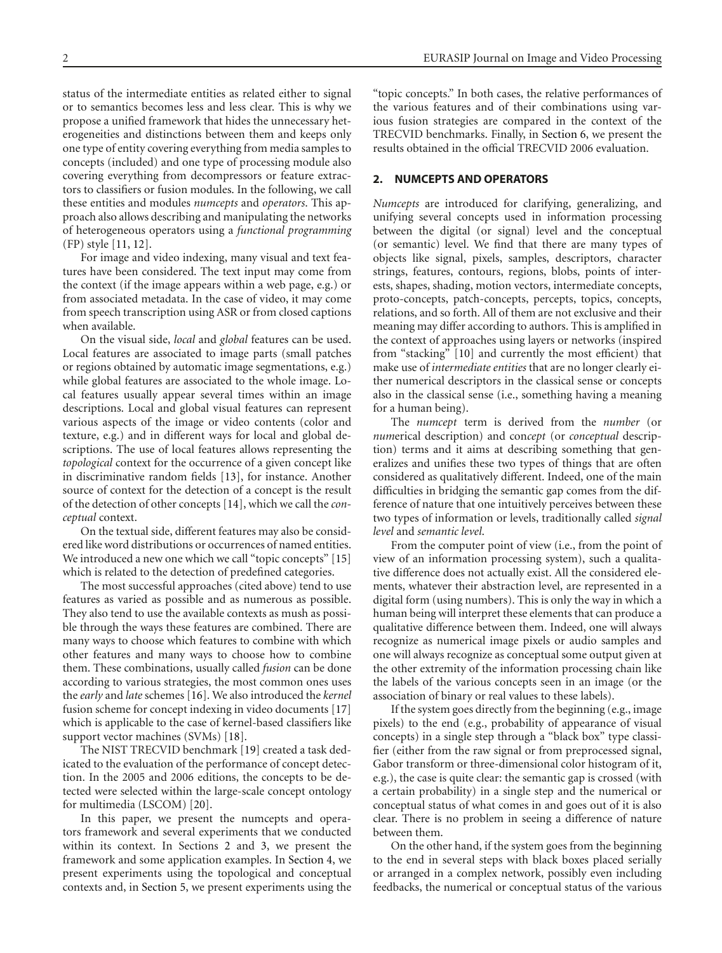status of the intermediate entities as related either to signal or to semantics becomes less and less clear. This is why we propose a unified framework that hides the unnecessary heterogeneities and distinctions between them and keeps only one type of entity covering everything from media samples to concepts (included) and one type of processing module also covering everything from decompressors or feature extractors to classifiers or fusion modules. In the following, we call these entities and modules *numcepts* and *operators*. This approach also allows describing and manipulating the networks of heterogeneous operators using a *functional programming* (FP) style [\[11,](#page-12-2) [12](#page-12-3)].

For image and video indexing, many visual and text features have been considered. The text input may come from the context (if the image appears within a web page, e.g.) or from associated metadata. In the case of video, it may come from speech transcription using ASR or from closed captions when available.

On the visual side, *local* and *global* features can be used. Local features are associated to image parts (small patches or regions obtained by automatic image segmentations, e.g.) while global features are associated to the whole image. Local features usually appear several times within an image descriptions. Local and global visual features can represent various aspects of the image or video contents (color and texture, e.g.) and in different ways for local and global descriptions. The use of local features allows representing the *topological* context for the occurrence of a given concept like in discriminative random fields [\[13](#page-12-4)], for instance. Another source of context for the detection of a concept is the result of the detection of other concepts [\[14\]](#page-12-5), which we call the *conceptual* context.

On the textual side, different features may also be considered like word distributions or occurrences of named entities. We introduced a new one which we call "topic concepts" [\[15](#page-12-6)] which is related to the detection of predefined categories.

The most successful approaches (cited above) tend to use features as varied as possible and as numerous as possible. They also tend to use the available contexts as mush as possible through the ways these features are combined. There are many ways to choose which features to combine with which other features and many ways to choose how to combine them. These combinations, usually called *fusion* can be done according to various strategies, the most common ones uses the *early* and *late* schemes [\[16](#page-12-7)]. We also introduced the *kernel* fusion scheme for concept indexing in video documents [\[17](#page-12-8)] which is applicable to the case of kernel-based classifiers like support vector machines (SVMs) [\[18](#page-12-9)].

The NIST TRECVID benchmark [\[19\]](#page-12-10) created a task dedicated to the evaluation of the performance of concept detection. In the 2005 and 2006 editions, the concepts to be detected were selected within the large-scale concept ontology for multimedia (LSCOM) [\[20\]](#page-12-11).

In this paper, we present the numcepts and operators framework and several experiments that we conducted within its context. In Sections [2](#page-1-0) and [3,](#page-3-0) we present the framework and some application examples. In [Section 4,](#page-5-0) we present experiments using the topological and conceptual contexts and, in [Section 5,](#page-6-0) we present experiments using the "topic concepts." In both cases, the relative performances of the various features and of their combinations using various fusion strategies are compared in the context of the TRECVID benchmarks. Finally, in [Section 6,](#page-7-0) we present the results obtained in the official TRECVID 2006 evaluation.

## <span id="page-1-0"></span>**2. NUMCEPTS AND OPERATORS**

*Numcepts* are introduced for clarifying, generalizing, and unifying several concepts used in information processing between the digital (or signal) level and the conceptual (or semantic) level. We find that there are many types of objects like signal, pixels, samples, descriptors, character strings, features, contours, regions, blobs, points of interests, shapes, shading, motion vectors, intermediate concepts, proto-concepts, patch-concepts, percepts, topics, concepts, relations, and so forth. All of them are not exclusive and their meaning may differ according to authors. This is amplified in the context of approaches using layers or networks (inspired from "stacking" [\[10\]](#page-12-1) and currently the most efficient) that make use of *intermediate entities* that are no longer clearly either numerical descriptors in the classical sense or concepts also in the classical sense (i.e., something having a meaning for a human being).

The *numcept* term is derived from the *number* (or *num*erical description) and con*cept* (or *conceptual* description) terms and it aims at describing something that generalizes and unifies these two types of things that are often considered as qualitatively different. Indeed, one of the main difficulties in bridging the semantic gap comes from the difference of nature that one intuitively perceives between these two types of information or levels, traditionally called *signal level* and *semantic level*.

From the computer point of view (i.e., from the point of view of an information processing system), such a qualitative difference does not actually exist. All the considered elements, whatever their abstraction level, are represented in a digital form (using numbers). This is only the way in which a human being will interpret these elements that can produce a qualitative difference between them. Indeed, one will always recognize as numerical image pixels or audio samples and one will always recognize as conceptual some output given at the other extremity of the information processing chain like the labels of the various concepts seen in an image (or the association of binary or real values to these labels).

If the system goes directly from the beginning (e.g., image pixels) to the end (e.g., probability of appearance of visual concepts) in a single step through a "black box" type classifier (either from the raw signal or from preprocessed signal, Gabor transform or three-dimensional color histogram of it, e.g.), the case is quite clear: the semantic gap is crossed (with a certain probability) in a single step and the numerical or conceptual status of what comes in and goes out of it is also clear. There is no problem in seeing a difference of nature between them.

On the other hand, if the system goes from the beginning to the end in several steps with black boxes placed serially or arranged in a complex network, possibly even including feedbacks, the numerical or conceptual status of the various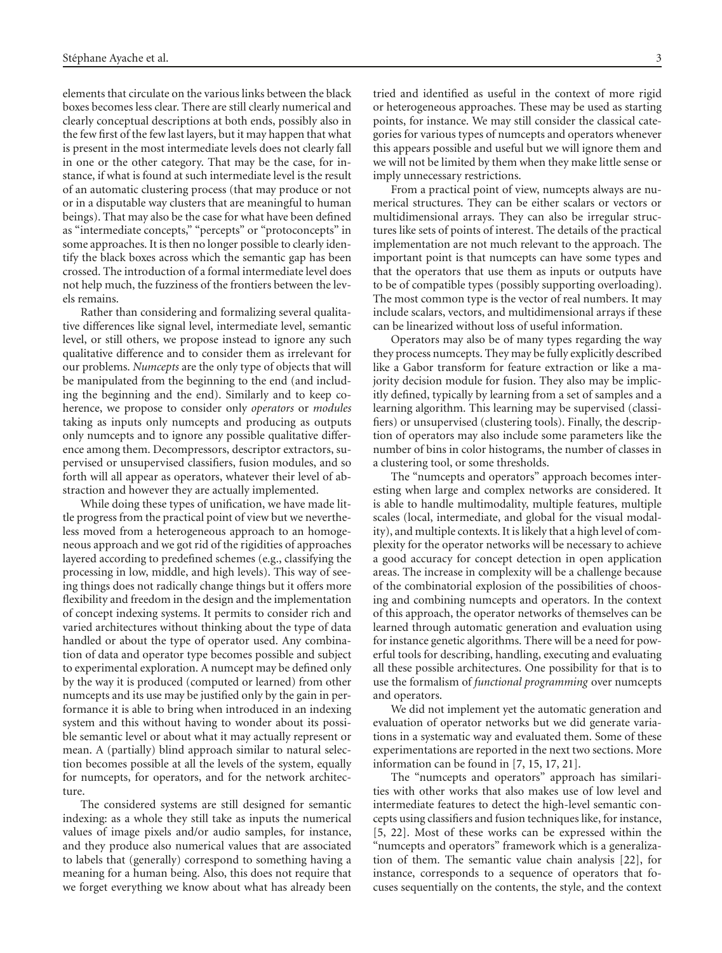elements that circulate on the various links between the black boxes becomes less clear. There are still clearly numerical and clearly conceptual descriptions at both ends, possibly also in the few first of the few last layers, but it may happen that what is present in the most intermediate levels does not clearly fall in one or the other category. That may be the case, for instance, if what is found at such intermediate level is the result of an automatic clustering process (that may produce or not or in a disputable way clusters that are meaningful to human beings). That may also be the case for what have been defined as "intermediate concepts," "percepts" or "protoconcepts" in some approaches. It is then no longer possible to clearly identify the black boxes across which the semantic gap has been crossed. The introduction of a formal intermediate level does not help much, the fuzziness of the frontiers between the levels remains.

Rather than considering and formalizing several qualitative differences like signal level, intermediate level, semantic level, or still others, we propose instead to ignore any such qualitative difference and to consider them as irrelevant for our problems. *Numcepts* are the only type of objects that will be manipulated from the beginning to the end (and including the beginning and the end). Similarly and to keep coherence, we propose to consider only *operators* or *modules* taking as inputs only numcepts and producing as outputs only numcepts and to ignore any possible qualitative difference among them. Decompressors, descriptor extractors, supervised or unsupervised classifiers, fusion modules, and so forth will all appear as operators, whatever their level of abstraction and however they are actually implemented.

While doing these types of unification, we have made little progress from the practical point of view but we nevertheless moved from a heterogeneous approach to an homogeneous approach and we got rid of the rigidities of approaches layered according to predefined schemes (e.g., classifying the processing in low, middle, and high levels). This way of seeing things does not radically change things but it offers more flexibility and freedom in the design and the implementation of concept indexing systems. It permits to consider rich and varied architectures without thinking about the type of data handled or about the type of operator used. Any combination of data and operator type becomes possible and subject to experimental exploration. A numcept may be defined only by the way it is produced (computed or learned) from other numcepts and its use may be justified only by the gain in performance it is able to bring when introduced in an indexing system and this without having to wonder about its possible semantic level or about what it may actually represent or mean. A (partially) blind approach similar to natural selection becomes possible at all the levels of the system, equally for numcepts, for operators, and for the network architecture.

The considered systems are still designed for semantic indexing: as a whole they still take as inputs the numerical values of image pixels and/or audio samples, for instance, and they produce also numerical values that are associated to labels that (generally) correspond to something having a meaning for a human being. Also, this does not require that we forget everything we know about what has already been

tried and identified as useful in the context of more rigid or heterogeneous approaches. These may be used as starting points, for instance. We may still consider the classical categories for various types of numcepts and operators whenever this appears possible and useful but we will ignore them and we will not be limited by them when they make little sense or imply unnecessary restrictions.

From a practical point of view, numcepts always are numerical structures. They can be either scalars or vectors or multidimensional arrays. They can also be irregular structures like sets of points of interest. The details of the practical implementation are not much relevant to the approach. The important point is that numcepts can have some types and that the operators that use them as inputs or outputs have to be of compatible types (possibly supporting overloading). The most common type is the vector of real numbers. It may include scalars, vectors, and multidimensional arrays if these can be linearized without loss of useful information.

Operators may also be of many types regarding the way they process numcepts. They may be fully explicitly described like a Gabor transform for feature extraction or like a majority decision module for fusion. They also may be implicitly defined, typically by learning from a set of samples and a learning algorithm. This learning may be supervised (classifiers) or unsupervised (clustering tools). Finally, the description of operators may also include some parameters like the number of bins in color histograms, the number of classes in a clustering tool, or some thresholds.

The "numcepts and operators" approach becomes interesting when large and complex networks are considered. It is able to handle multimodality, multiple features, multiple scales (local, intermediate, and global for the visual modality), and multiple contexts. It is likely that a high level of complexity for the operator networks will be necessary to achieve a good accuracy for concept detection in open application areas. The increase in complexity will be a challenge because of the combinatorial explosion of the possibilities of choosing and combining numcepts and operators. In the context of this approach, the operator networks of themselves can be learned through automatic generation and evaluation using for instance genetic algorithms. There will be a need for powerful tools for describing, handling, executing and evaluating all these possible architectures. One possibility for that is to use the formalism of *functional programming* over numcepts and operators.

We did not implement yet the automatic generation and evaluation of operator networks but we did generate variations in a systematic way and evaluated them. Some of these experimentations are reported in the next two sections. More information can be found in [\[7](#page-11-2), [15,](#page-12-6) [17,](#page-12-8) [21\]](#page-12-12).

The "numcepts and operators" approach has similarities with other works that also makes use of low level and intermediate features to detect the high-level semantic concepts using classifiers and fusion techniques like, for instance, [\[5,](#page-11-3) [22\]](#page-12-13). Most of these works can be expressed within the "numcepts and operators" framework which is a generalization of them. The semantic value chain analysis [\[22](#page-12-13)], for instance, corresponds to a sequence of operators that focuses sequentially on the contents, the style, and the context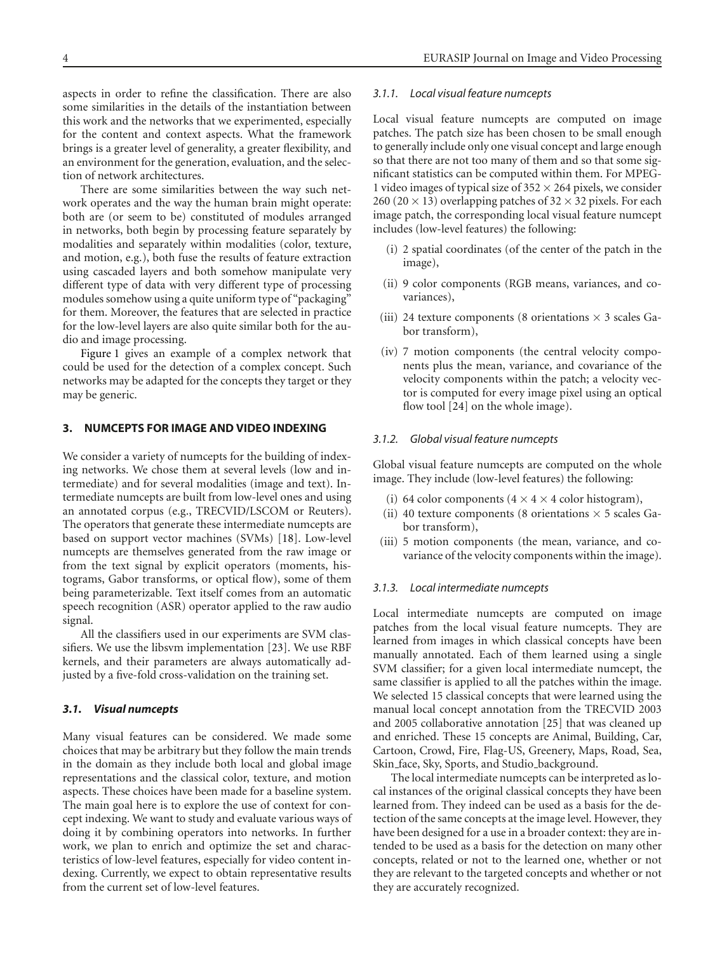aspects in order to refine the classification. There are also some similarities in the details of the instantiation between this work and the networks that we experimented, especially for the content and context aspects. What the framework brings is a greater level of generality, a greater flexibility, and an environment for the generation, evaluation, and the selection of network architectures.

There are some similarities between the way such network operates and the way the human brain might operate: both are (or seem to be) constituted of modules arranged in networks, both begin by processing feature separately by modalities and separately within modalities (color, texture, and motion, e.g.), both fuse the results of feature extraction using cascaded layers and both somehow manipulate very different type of data with very different type of processing modules somehow using a quite uniform type of "packaging" for them. Moreover, the features that are selected in practice for the low-level layers are also quite similar both for the audio and image processing.

[Figure 1](#page-4-0) gives an example of a complex network that could be used for the detection of a complex concept. Such networks may be adapted for the concepts they target or they may be generic.

## <span id="page-3-0"></span>**3. NUMCEPTS FOR IMAGE AND VIDEO INDEXING**

We consider a variety of numcepts for the building of indexing networks. We chose them at several levels (low and intermediate) and for several modalities (image and text). Intermediate numcepts are built from low-level ones and using an annotated corpus (e.g., TRECVID/LSCOM or Reuters). The operators that generate these intermediate numcepts are based on support vector machines (SVMs) [\[18](#page-12-9)]. Low-level numcepts are themselves generated from the raw image or from the text signal by explicit operators (moments, histograms, Gabor transforms, or optical flow), some of them being parameterizable. Text itself comes from an automatic speech recognition (ASR) operator applied to the raw audio signal.

All the classifiers used in our experiments are SVM classifiers. We use the libsvm implementation [\[23](#page-12-14)]. We use RBF kernels, and their parameters are always automatically adjusted by a five-fold cross-validation on the training set.

## *3.1. Visual numcepts*

Many visual features can be considered. We made some choices that may be arbitrary but they follow the main trends in the domain as they include both local and global image representations and the classical color, texture, and motion aspects. These choices have been made for a baseline system. The main goal here is to explore the use of context for concept indexing. We want to study and evaluate various ways of doing it by combining operators into networks. In further work, we plan to enrich and optimize the set and characteristics of low-level features, especially for video content indexing. Currently, we expect to obtain representative results from the current set of low-level features.

#### *3.1.1. Local visual feature numcepts*

Local visual feature numcepts are computed on image patches. The patch size has been chosen to be small enough to generally include only one visual concept and large enough so that there are not too many of them and so that some significant statistics can be computed within them. For MPEG-1 video images of typical size of  $352 \times 264$  pixels, we consider 260 (20  $\times$  13) overlapping patches of 32  $\times$  32 pixels. For each image patch, the corresponding local visual feature numcept includes (low-level features) the following:

- (i) 2 spatial coordinates (of the center of the patch in the image),
- (ii) 9 color components (RGB means, variances, and covariances),
- (iii) 24 texture components (8 orientations  $\times$  3 scales Gabor transform),
- (iv) 7 motion components (the central velocity components plus the mean, variance, and covariance of the velocity components within the patch; a velocity vector is computed for every image pixel using an optical flow tool [\[24\]](#page-12-15) on the whole image).

## *3.1.2. Global visual feature numcepts*

Global visual feature numcepts are computed on the whole image. They include (low-level features) the following:

- (i) 64 color components  $(4 \times 4 \times 4$  color histogram),
- (ii) 40 texture components (8 orientations  $\times$  5 scales Gabor transform),
- (iii) 5 motion components (the mean, variance, and covariance of the velocity components within the image).

## *3.1.3. Local intermediate numcepts*

Local intermediate numcepts are computed on image patches from the local visual feature numcepts. They are learned from images in which classical concepts have been manually annotated. Each of them learned using a single SVM classifier; for a given local intermediate numcept, the same classifier is applied to all the patches within the image. We selected 15 classical concepts that were learned using the manual local concept annotation from the TRECVID 2003 and 2005 collaborative annotation [\[25](#page-12-16)] that was cleaned up and enriched. These 15 concepts are Animal, Building, Car, Cartoon, Crowd, Fire, Flag-US, Greenery, Maps, Road, Sea, Skin\_face, Sky, Sports, and Studio\_background.

The local intermediate numcepts can be interpreted as local instances of the original classical concepts they have been learned from. They indeed can be used as a basis for the detection of the same concepts at the image level. However, they have been designed for a use in a broader context: they are intended to be used as a basis for the detection on many other concepts, related or not to the learned one, whether or not they are relevant to the targeted concepts and whether or not they are accurately recognized.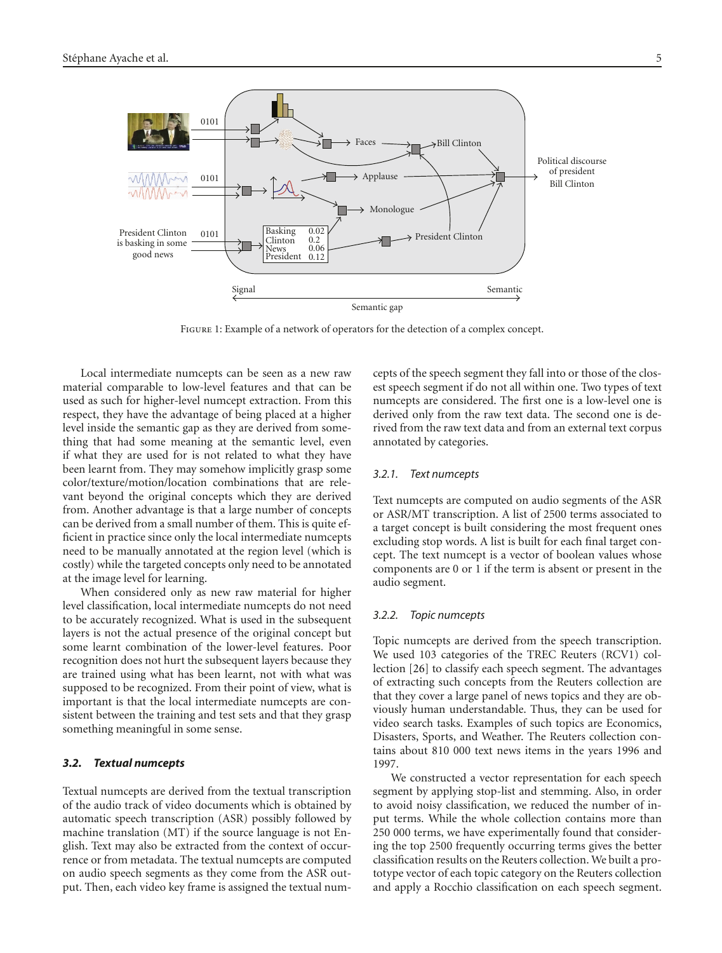

<span id="page-4-0"></span>Figure 1: Example of a network of operators for the detection of a complex concept.

Local intermediate numcepts can be seen as a new raw material comparable to low-level features and that can be used as such for higher-level numcept extraction. From this respect, they have the advantage of being placed at a higher level inside the semantic gap as they are derived from something that had some meaning at the semantic level, even if what they are used for is not related to what they have been learnt from. They may somehow implicitly grasp some color/texture/motion/location combinations that are relevant beyond the original concepts which they are derived from. Another advantage is that a large number of concepts can be derived from a small number of them. This is quite efficient in practice since only the local intermediate numcepts need to be manually annotated at the region level (which is costly) while the targeted concepts only need to be annotated at the image level for learning.

When considered only as new raw material for higher level classification, local intermediate numcepts do not need to be accurately recognized. What is used in the subsequent layers is not the actual presence of the original concept but some learnt combination of the lower-level features. Poor recognition does not hurt the subsequent layers because they are trained using what has been learnt, not with what was supposed to be recognized. From their point of view, what is important is that the local intermediate numcepts are consistent between the training and test sets and that they grasp something meaningful in some sense.

#### *3.2. Textual numcepts*

Textual numcepts are derived from the textual transcription of the audio track of video documents which is obtained by automatic speech transcription (ASR) possibly followed by machine translation (MT) if the source language is not English. Text may also be extracted from the context of occurrence or from metadata. The textual numcepts are computed on audio speech segments as they come from the ASR output. Then, each video key frame is assigned the textual numcepts of the speech segment they fall into or those of the closest speech segment if do not all within one. Two types of text numcepts are considered. The first one is a low-level one is derived only from the raw text data. The second one is derived from the raw text data and from an external text corpus annotated by categories.

## *3.2.1. Text numcepts*

Text numcepts are computed on audio segments of the ASR or ASR/MT transcription. A list of 2500 terms associated to a target concept is built considering the most frequent ones excluding stop words. A list is built for each final target concept. The text numcept is a vector of boolean values whose components are 0 or 1 if the term is absent or present in the audio segment.

#### *3.2.2. Topic numcepts*

Topic numcepts are derived from the speech transcription. We used 103 categories of the TREC Reuters (RCV1) collection [\[26](#page-12-17)] to classify each speech segment. The advantages of extracting such concepts from the Reuters collection are that they cover a large panel of news topics and they are obviously human understandable. Thus, they can be used for video search tasks. Examples of such topics are Economics, Disasters, Sports, and Weather. The Reuters collection contains about 810 000 text news items in the years 1996 and 1997.

We constructed a vector representation for each speech segment by applying stop-list and stemming. Also, in order to avoid noisy classification, we reduced the number of input terms. While the whole collection contains more than 250 000 terms, we have experimentally found that considering the top 2500 frequently occurring terms gives the better classification results on the Reuters collection. We built a prototype vector of each topic category on the Reuters collection and apply a Rocchio classification on each speech segment.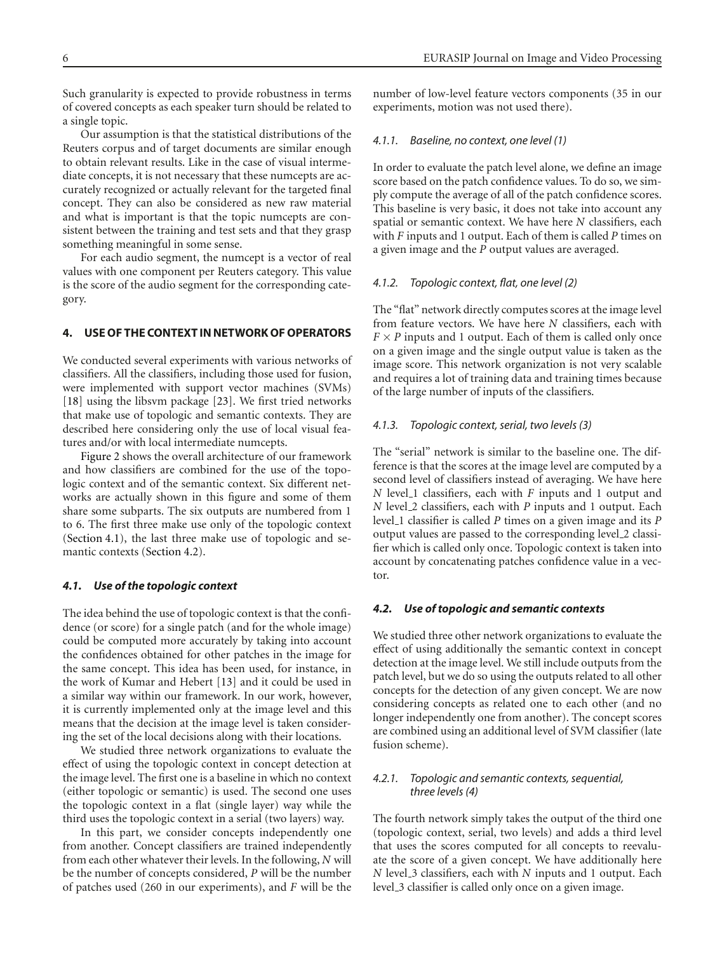Such granularity is expected to provide robustness in terms of covered concepts as each speaker turn should be related to a single topic.

Our assumption is that the statistical distributions of the Reuters corpus and of target documents are similar enough to obtain relevant results. Like in the case of visual intermediate concepts, it is not necessary that these numcepts are accurately recognized or actually relevant for the targeted final concept. They can also be considered as new raw material and what is important is that the topic numcepts are consistent between the training and test sets and that they grasp something meaningful in some sense.

For each audio segment, the numcept is a vector of real values with one component per Reuters category. This value is the score of the audio segment for the corresponding category.

# <span id="page-5-0"></span>**4. USE OF THE CONTEXT IN NETWORK OF OPERATORS**

We conducted several experiments with various networks of classifiers. All the classifiers, including those used for fusion, were implemented with support vector machines (SVMs) [\[18](#page-12-9)] using the libsvm package [\[23\]](#page-12-14). We first tried networks that make use of topologic and semantic contexts. They are described here considering only the use of local visual features and/or with local intermediate numcepts.

[Figure 2](#page-6-1) shows the overall architecture of our framework and how classifiers are combined for the use of the topologic context and of the semantic context. Six different networks are actually shown in this figure and some of them share some subparts. The six outputs are numbered from 1 to 6. The first three make use only of the topologic context [\(Section 4.1\)](#page-5-1), the last three make use of topologic and semantic contexts [\(Section 4.2\)](#page-5-2).

#### <span id="page-5-1"></span>*4.1. Use of the topologic context*

The idea behind the use of topologic context is that the confidence (or score) for a single patch (and for the whole image) could be computed more accurately by taking into account the confidences obtained for other patches in the image for the same concept. This idea has been used, for instance, in the work of Kumar and Hebert [\[13](#page-12-4)] and it could be used in a similar way within our framework. In our work, however, it is currently implemented only at the image level and this means that the decision at the image level is taken considering the set of the local decisions along with their locations.

We studied three network organizations to evaluate the effect of using the topologic context in concept detection at the image level. The first one is a baseline in which no context (either topologic or semantic) is used. The second one uses the topologic context in a flat (single layer) way while the third uses the topologic context in a serial (two layers) way.

In this part, we consider concepts independently one from another. Concept classifiers are trained independently from each other whatever their levels. In the following, *N* will be the number of concepts considered, *P* will be the number of patches used (260 in our experiments), and *F* will be the

number of low-level feature vectors components (35 in our experiments, motion was not used there).

## *4.1.1. Baseline, no context, one level (1)*

In order to evaluate the patch level alone, we define an image score based on the patch confidence values. To do so, we simply compute the average of all of the patch confidence scores. This baseline is very basic, it does not take into account any spatial or semantic context. We have here *N* classifiers, each with *F* inputs and 1 output. Each of them is called *P* times on a given image and the *P* output values are averaged.

## *4.1.2. Topologic context, flat, one level (2)*

The "flat" network directly computes scores at the image level from feature vectors. We have here *N* classifiers, each with  $F \times P$  inputs and 1 output. Each of them is called only once on a given image and the single output value is taken as the image score. This network organization is not very scalable and requires a lot of training data and training times because of the large number of inputs of the classifiers.

## *4.1.3. Topologic context, serial, two levels (3)*

The "serial" network is similar to the baseline one. The difference is that the scores at the image level are computed by a second level of classifiers instead of averaging. We have here *N* level<sub>-1</sub> classifiers, each with *F* inputs and 1 output and *N* level 2 classifiers, each with *P* inputs and 1 output. Each level 1 classifier is called *P* times on a given image and its *P* output values are passed to the corresponding level\_2 classifier which is called only once. Topologic context is taken into account by concatenating patches confidence value in a vector.

## <span id="page-5-2"></span>*4.2. Use of topologic and semantic contexts*

We studied three other network organizations to evaluate the effect of using additionally the semantic context in concept detection at the image level. We still include outputs from the patch level, but we do so using the outputs related to all other concepts for the detection of any given concept. We are now considering concepts as related one to each other (and no longer independently one from another). The concept scores are combined using an additional level of SVM classifier (late fusion scheme).

## *4.2.1. Topologic and semantic contexts, sequential, three levels (4)*

The fourth network simply takes the output of the third one (topologic context, serial, two levels) and adds a third level that uses the scores computed for all concepts to reevaluate the score of a given concept. We have additionally here *N* level 3 classifiers, each with *N* inputs and 1 output. Each level\_3 classifier is called only once on a given image.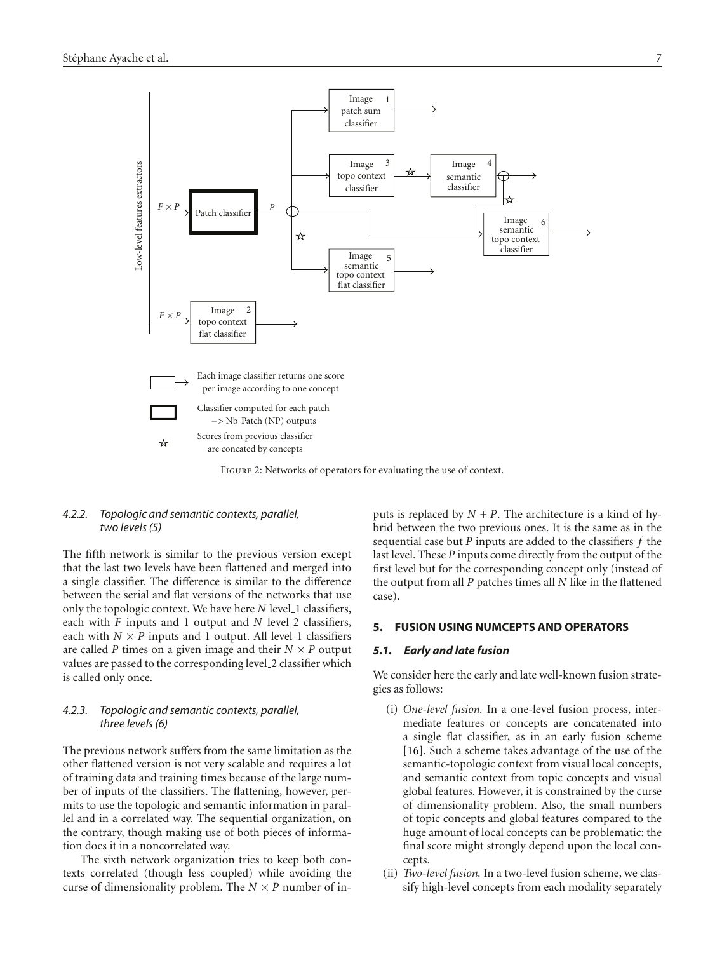

<span id="page-6-1"></span>FIGURE 2: Networks of operators for evaluating the use of context.

## *4.2.2. Topologic and semantic contexts, parallel, two levels (5)*

The fifth network is similar to the previous version except that the last two levels have been flattened and merged into a single classifier. The difference is similar to the difference between the serial and flat versions of the networks that use only the topologic context. We have here *N* level\_1 classifiers, each with *F* inputs and 1 output and *N* level 2 classifiers, each with  $N \times P$  inputs and 1 output. All level 1 classifiers are called *P* times on a given image and their  $N \times P$  output values are passed to the corresponding level 2 classifier which is called only once.

# *4.2.3. Topologic and semantic contexts, parallel, three levels (6)*

The previous network suffers from the same limitation as the other flattened version is not very scalable and requires a lot of training data and training times because of the large number of inputs of the classifiers. The flattening, however, permits to use the topologic and semantic information in parallel and in a correlated way. The sequential organization, on the contrary, though making use of both pieces of information does it in a noncorrelated way.

The sixth network organization tries to keep both contexts correlated (though less coupled) while avoiding the curse of dimensionality problem. The  $N \times P$  number of inputs is replaced by  $N + P$ . The architecture is a kind of hybrid between the two previous ones. It is the same as in the sequential case but *P* inputs are added to the classifiers *f* the last level. These *P* inputs come directly from the output of the first level but for the corresponding concept only (instead of the output from all *P* patches times all *N* like in the flattened case).

## <span id="page-6-2"></span><span id="page-6-0"></span>**5. FUSION USING NUMCEPTS AND OPERATORS**

## *5.1. Early and late fusion*

We consider here the early and late well-known fusion strategies as follows:

- (i) *One-level fusion.* In a one-level fusion process, intermediate features or concepts are concatenated into a single flat classifier, as in an early fusion scheme [\[16](#page-12-7)]. Such a scheme takes advantage of the use of the semantic-topologic context from visual local concepts, and semantic context from topic concepts and visual global features. However, it is constrained by the curse of dimensionality problem. Also, the small numbers of topic concepts and global features compared to the huge amount of local concepts can be problematic: the final score might strongly depend upon the local concepts.
- (ii) *Two-level fusion.* In a two-level fusion scheme, we classify high-level concepts from each modality separately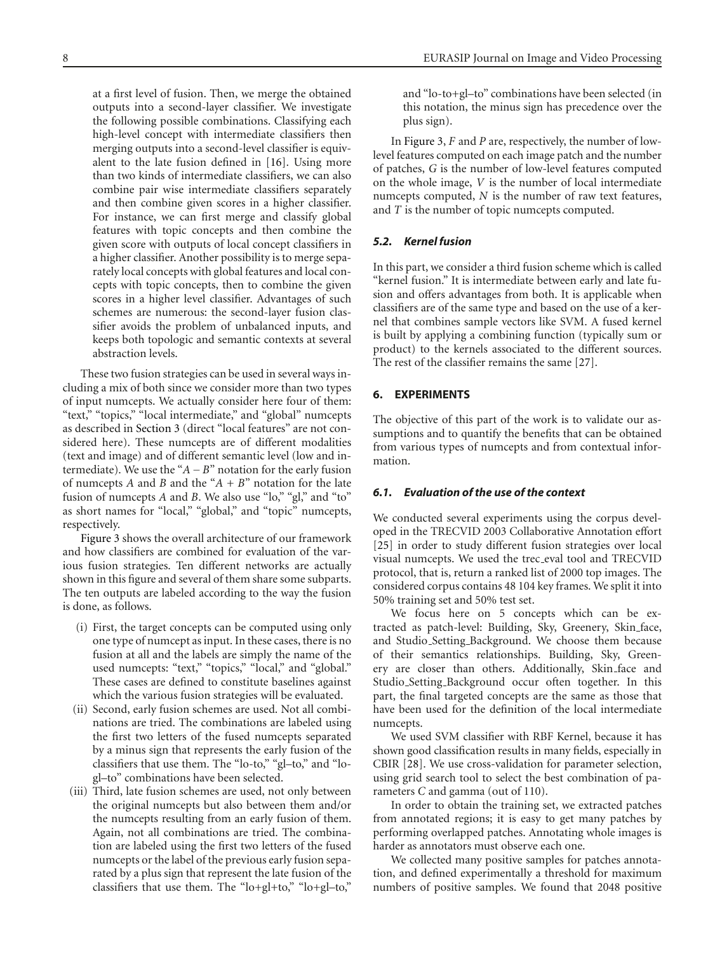at a first level of fusion. Then, we merge the obtained outputs into a second-layer classifier. We investigate the following possible combinations. Classifying each high-level concept with intermediate classifiers then merging outputs into a second-level classifier is equivalent to the late fusion defined in [\[16](#page-12-7)]. Using more than two kinds of intermediate classifiers, we can also combine pair wise intermediate classifiers separately and then combine given scores in a higher classifier. For instance, we can first merge and classify global features with topic concepts and then combine the given score with outputs of local concept classifiers in a higher classifier. Another possibility is to merge separately local concepts with global features and local concepts with topic concepts, then to combine the given scores in a higher level classifier. Advantages of such schemes are numerous: the second-layer fusion classifier avoids the problem of unbalanced inputs, and keeps both topologic and semantic contexts at several abstraction levels.

These two fusion strategies can be used in several ways including a mix of both since we consider more than two types of input numcepts. We actually consider here four of them: "text," "topics," "local intermediate," and "global" numcepts as described in [Section 3](#page-3-0) (direct "local features" are not considered here). These numcepts are of different modalities (text and image) and of different semantic level (low and intermediate). We use the "*A*−*B*" notation for the early fusion of numcepts *A* and *B* and the "*A* + *B*" notation for the late fusion of numcepts *A* and *B*. We also use "lo," "gl," and "to" as short names for "local," "global," and "topic" numcepts, respectively.

[Figure 3](#page-8-0) shows the overall architecture of our framework and how classifiers are combined for evaluation of the various fusion strategies. Ten different networks are actually shown in this figure and several of them share some subparts. The ten outputs are labeled according to the way the fusion is done, as follows.

- (i) First, the target concepts can be computed using only one type of numcept as input. In these cases, there is no fusion at all and the labels are simply the name of the used numcepts: "text," "topics," "local," and "global." These cases are defined to constitute baselines against which the various fusion strategies will be evaluated.
- (ii) Second, early fusion schemes are used. Not all combinations are tried. The combinations are labeled using the first two letters of the fused numcepts separated by a minus sign that represents the early fusion of the classifiers that use them. The "lo-to," "gl–to," and "logl–to" combinations have been selected.
- (iii) Third, late fusion schemes are used, not only between the original numcepts but also between them and/or the numcepts resulting from an early fusion of them. Again, not all combinations are tried. The combination are labeled using the first two letters of the fused numcepts or the label of the previous early fusion separated by a plus sign that represent the late fusion of the classifiers that use them. The "lo+gl+to," "lo+gl–to,"

and "lo-to+gl–to" combinations have been selected (in this notation, the minus sign has precedence over the plus sign).

In [Figure 3,](#page-8-0) *F* and *P* are, respectively, the number of lowlevel features computed on each image patch and the number of patches, *G* is the number of low-level features computed on the whole image, *V* is the number of local intermediate numcepts computed, *N* is the number of raw text features, and *T* is the number of topic numcepts computed.

## *5.2. Kernel fusion*

In this part, we consider a third fusion scheme which is called "kernel fusion." It is intermediate between early and late fusion and offers advantages from both. It is applicable when classifiers are of the same type and based on the use of a kernel that combines sample vectors like SVM. A fused kernel is built by applying a combining function (typically sum or product) to the kernels associated to the different sources. The rest of the classifier remains the same [\[27\]](#page-12-18).

## <span id="page-7-0"></span>**6. EXPERIMENTS**

The objective of this part of the work is to validate our assumptions and to quantify the benefits that can be obtained from various types of numcepts and from contextual information.

#### *6.1. Evaluation of the use of the context*

We conducted several experiments using the corpus developed in the TRECVID 2003 Collaborative Annotation effort [\[25](#page-12-16)] in order to study different fusion strategies over local visual numcepts. We used the trec eval tool and TRECVID protocol, that is, return a ranked list of 2000 top images. The considered corpus contains 48 104 key frames. We split it into 50% training set and 50% test set.

We focus here on 5 concepts which can be extracted as patch-level: Building, Sky, Greenery, Skin face, and Studio Setting Background. We choose them because of their semantics relationships. Building, Sky, Greenery are closer than others. Additionally, Skin face and Studio Setting Background occur often together. In this part, the final targeted concepts are the same as those that have been used for the definition of the local intermediate numcepts.

We used SVM classifier with RBF Kernel, because it has shown good classification results in many fields, especially in CBIR [\[28](#page-12-19)]. We use cross-validation for parameter selection, using grid search tool to select the best combination of parameters *C* and gamma (out of 110).

In order to obtain the training set, we extracted patches from annotated regions; it is easy to get many patches by performing overlapped patches. Annotating whole images is harder as annotators must observe each one.

We collected many positive samples for patches annotation, and defined experimentally a threshold for maximum numbers of positive samples. We found that 2048 positive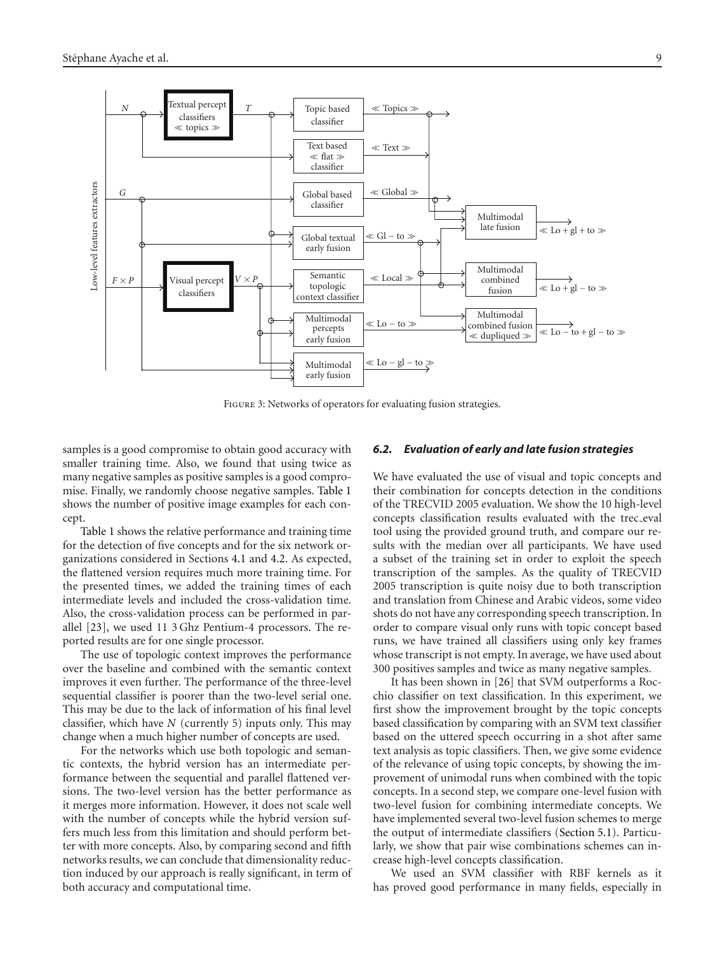

<span id="page-8-0"></span>Figure 3: Networks of operators for evaluating fusion strategies.

samples is a good compromise to obtain good accuracy with smaller training time. Also, we found that using twice as many negative samples as positive samples is a good compromise. Finally, we randomly choose negative samples. [Table 1](#page-9-0) shows the number of positive image examples for each concept.

[Table 1](#page-9-0) shows the relative performance and training time for the detection of five concepts and for the six network organizations considered in Sections [4.1](#page-5-1) and [4.2.](#page-5-2) As expected, the flattened version requires much more training time. For the presented times, we added the training times of each intermediate levels and included the cross-validation time. Also, the cross-validation process can be performed in parallel [\[23\]](#page-12-14), we used 11 3 Ghz Pentium-4 processors. The reported results are for one single processor.

The use of topologic context improves the performance over the baseline and combined with the semantic context improves it even further. The performance of the three-level sequential classifier is poorer than the two-level serial one. This may be due to the lack of information of his final level classifier, which have *N* (currently 5) inputs only. This may change when a much higher number of concepts are used.

For the networks which use both topologic and semantic contexts, the hybrid version has an intermediate performance between the sequential and parallel flattened versions. The two-level version has the better performance as it merges more information. However, it does not scale well with the number of concepts while the hybrid version suffers much less from this limitation and should perform better with more concepts. Also, by comparing second and fifth networks results, we can conclude that dimensionality reduction induced by our approach is really significant, in term of both accuracy and computational time.

#### *6.2. Evaluation of early and late fusion strategies*

We have evaluated the use of visual and topic concepts and their combination for concepts detection in the conditions of the TRECVID 2005 evaluation. We show the 10 high-level concepts classification results evaluated with the trec eval tool using the provided ground truth, and compare our results with the median over all participants. We have used a subset of the training set in order to exploit the speech transcription of the samples. As the quality of TRECVID 2005 transcription is quite noisy due to both transcription and translation from Chinese and Arabic videos, some video shots do not have any corresponding speech transcription. In order to compare visual only runs with topic concept based runs, we have trained all classifiers using only key frames whose transcript is not empty. In average, we have used about 300 positives samples and twice as many negative samples.

It has been shown in [\[26\]](#page-12-17) that SVM outperforms a Rocchio classifier on text classification. In this experiment, we first show the improvement brought by the topic concepts based classification by comparing with an SVM text classifier based on the uttered speech occurring in a shot after same text analysis as topic classifiers. Then, we give some evidence of the relevance of using topic concepts, by showing the improvement of unimodal runs when combined with the topic concepts. In a second step, we compare one-level fusion with two-level fusion for combining intermediate concepts. We have implemented several two-level fusion schemes to merge the output of intermediate classifiers [\(Section 5.1\)](#page-6-2). Particularly, we show that pair wise combinations schemes can increase high-level concepts classification.

We used an SVM classifier with RBF kernels as it has proved good performance in many fields, especially in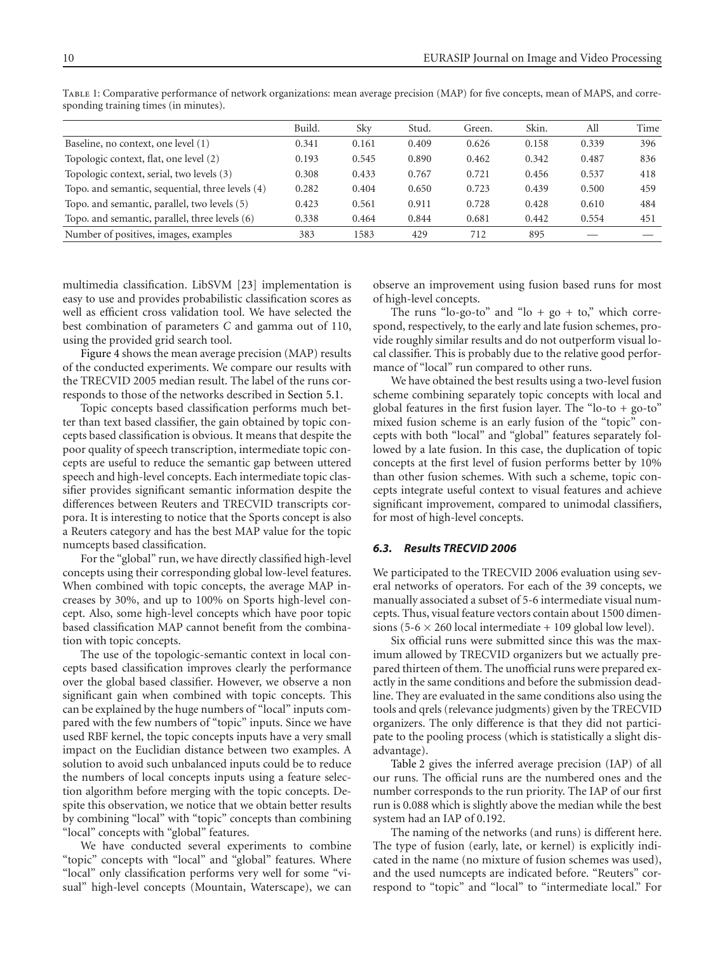|                                                  | Build. | Sky   | Stud. | Green. | Skin. | All   | Time |
|--------------------------------------------------|--------|-------|-------|--------|-------|-------|------|
| Baseline, no context, one level (1)              | 0.341  | 0.161 | 0.409 | 0.626  | 0.158 | 0.339 | 396  |
| Topologic context, flat, one level (2)           | 0.193  | 0.545 | 0.890 | 0.462  | 0.342 | 0.487 | 836  |
| Topologic context, serial, two levels (3)        | 0.308  | 0.433 | 0.767 | 0.721  | 0.456 | 0.537 | 418  |
| Topo. and semantic, sequential, three levels (4) | 0.282  | 0.404 | 0.650 | 0.723  | 0.439 | 0.500 | 459  |
| Topo. and semantic, parallel, two levels (5)     | 0.423  | 0.561 | 0.911 | 0.728  | 0.428 | 0.610 | 484  |
| Topo. and semantic, parallel, three levels (6)   | 0.338  | 0.464 | 0.844 | 0.681  | 0.442 | 0.554 | 451  |
| Number of positives, images, examples            | 383    | 1583  | 429   | 712    | 895   |       |      |

<span id="page-9-0"></span>Table 1: Comparative performance of network organizations: mean average precision (MAP) for five concepts, mean of MAPS, and corresponding training times (in minutes).

multimedia classification. LibSVM [\[23](#page-12-14)] implementation is easy to use and provides probabilistic classification scores as well as efficient cross validation tool. We have selected the best combination of parameters *C* and gamma out of 110, using the provided grid search tool.

[Figure 4](#page-10-0) shows the mean average precision (MAP) results of the conducted experiments. We compare our results with the TRECVID 2005 median result. The label of the runs corresponds to those of the networks described in [Section 5.1.](#page-6-2)

Topic concepts based classification performs much better than text based classifier, the gain obtained by topic concepts based classification is obvious. It means that despite the poor quality of speech transcription, intermediate topic concepts are useful to reduce the semantic gap between uttered speech and high-level concepts. Each intermediate topic classifier provides significant semantic information despite the differences between Reuters and TRECVID transcripts corpora. It is interesting to notice that the Sports concept is also a Reuters category and has the best MAP value for the topic numcepts based classification.

For the "global" run, we have directly classified high-level concepts using their corresponding global low-level features. When combined with topic concepts, the average MAP increases by 30%, and up to 100% on Sports high-level concept. Also, some high-level concepts which have poor topic based classification MAP cannot benefit from the combination with topic concepts.

The use of the topologic-semantic context in local concepts based classification improves clearly the performance over the global based classifier. However, we observe a non significant gain when combined with topic concepts. This can be explained by the huge numbers of "local" inputs compared with the few numbers of "topic" inputs. Since we have used RBF kernel, the topic concepts inputs have a very small impact on the Euclidian distance between two examples. A solution to avoid such unbalanced inputs could be to reduce the numbers of local concepts inputs using a feature selection algorithm before merging with the topic concepts. Despite this observation, we notice that we obtain better results by combining "local" with "topic" concepts than combining "local" concepts with "global" features.

We have conducted several experiments to combine "topic" concepts with "local" and "global" features. Where "local" only classification performs very well for some "visual" high-level concepts (Mountain, Waterscape), we can observe an improvement using fusion based runs for most of high-level concepts.

The runs "lo-go-to" and "lo + go + to," which correspond, respectively, to the early and late fusion schemes, provide roughly similar results and do not outperform visual local classifier. This is probably due to the relative good performance of "local" run compared to other runs.

We have obtained the best results using a two-level fusion scheme combining separately topic concepts with local and global features in the first fusion layer. The "lo-to + go-to" mixed fusion scheme is an early fusion of the "topic" concepts with both "local" and "global" features separately followed by a late fusion. In this case, the duplication of topic concepts at the first level of fusion performs better by 10% than other fusion schemes. With such a scheme, topic concepts integrate useful context to visual features and achieve significant improvement, compared to unimodal classifiers, for most of high-level concepts.

## *6.3. Results TRECVID 2006*

We participated to the TRECVID 2006 evaluation using several networks of operators. For each of the 39 concepts, we manually associated a subset of 5-6 intermediate visual numcepts. Thus, visual feature vectors contain about 1500 dimensions (5-6  $\times$  260 local intermediate + 109 global low level).

Six official runs were submitted since this was the maximum allowed by TRECVID organizers but we actually prepared thirteen of them. The unofficial runs were prepared exactly in the same conditions and before the submission deadline. They are evaluated in the same conditions also using the tools and qrels (relevance judgments) given by the TRECVID organizers. The only difference is that they did not participate to the pooling process (which is statistically a slight disadvantage).

[Table 2](#page-10-1) gives the inferred average precision (IAP) of all our runs. The official runs are the numbered ones and the number corresponds to the run priority. The IAP of our first run is 0.088 which is slightly above the median while the best system had an IAP of 0.192.

The naming of the networks (and runs) is different here. The type of fusion (early, late, or kernel) is explicitly indicated in the name (no mixture of fusion schemes was used), and the used numcepts are indicated before. "Reuters" correspond to "topic" and "local" to "intermediate local." For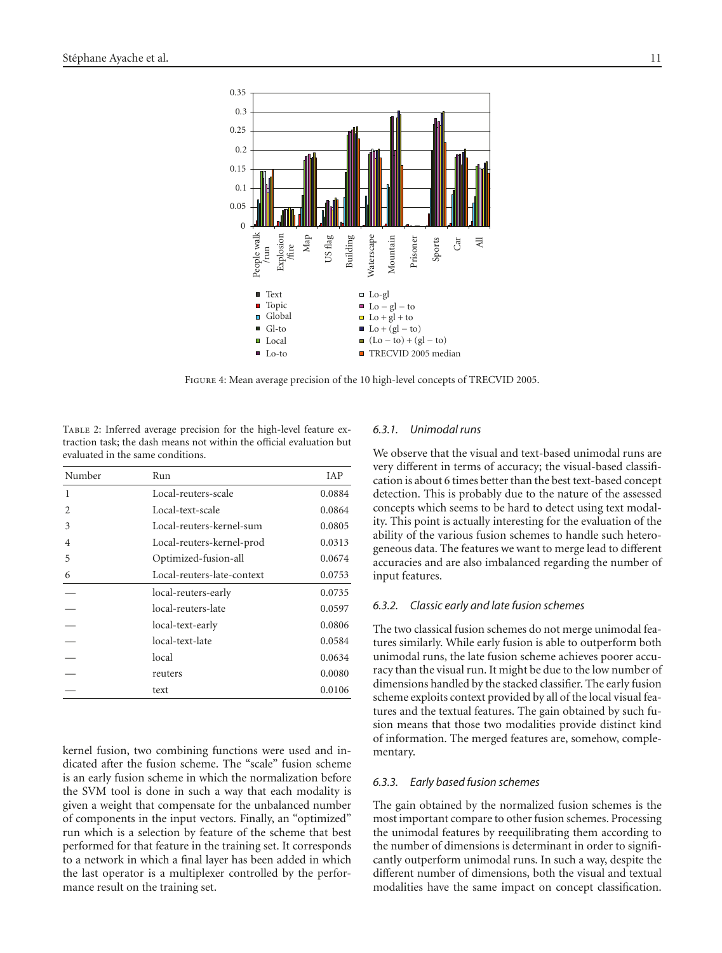

<span id="page-10-0"></span>Figure 4: Mean average precision of the 10 high-level concepts of TRECVID 2005.

<span id="page-10-1"></span>Table 2: Inferred average precision for the high-level feature extraction task; the dash means not within the official evaluation but evaluated in the same conditions.

| Number | Run                        | IAP    |
|--------|----------------------------|--------|
| 1      | Local-reuters-scale        | 0.0884 |
| 2      | Local-text-scale           | 0.0864 |
| 3      | Local-reuters-kernel-sum   | 0.0805 |
| 4      | Local-reuters-kernel-prod  | 0.0313 |
| 5      | Optimized-fusion-all       | 0.0674 |
| 6      | Local-reuters-late-context | 0.0753 |
|        | local-reuters-early        | 0.0735 |
|        | local-reuters-late         | 0.0597 |
|        | local-text-early           | 0.0806 |
|        | local-text-late            | 0.0584 |
|        | local                      | 0.0634 |
|        | reuters                    | 0.0080 |
|        | text                       | 0.0106 |
|        |                            |        |

kernel fusion, two combining functions were used and indicated after the fusion scheme. The "scale" fusion scheme is an early fusion scheme in which the normalization before the SVM tool is done in such a way that each modality is given a weight that compensate for the unbalanced number of components in the input vectors. Finally, an "optimized" run which is a selection by feature of the scheme that best performed for that feature in the training set. It corresponds to a network in which a final layer has been added in which the last operator is a multiplexer controlled by the performance result on the training set.

## *6.3.1. Unimodal runs*

We observe that the visual and text-based unimodal runs are very different in terms of accuracy; the visual-based classification is about 6 times better than the best text-based concept detection. This is probably due to the nature of the assessed concepts which seems to be hard to detect using text modality. This point is actually interesting for the evaluation of the ability of the various fusion schemes to handle such heterogeneous data. The features we want to merge lead to different accuracies and are also imbalanced regarding the number of input features.

#### *6.3.2. Classic early and late fusion schemes*

The two classical fusion schemes do not merge unimodal features similarly. While early fusion is able to outperform both unimodal runs, the late fusion scheme achieves poorer accuracy than the visual run. It might be due to the low number of dimensions handled by the stacked classifier. The early fusion scheme exploits context provided by all of the local visual features and the textual features. The gain obtained by such fusion means that those two modalities provide distinct kind of information. The merged features are, somehow, complementary.

## *6.3.3. Early based fusion schemes*

The gain obtained by the normalized fusion schemes is the most important compare to other fusion schemes. Processing the unimodal features by reequilibrating them according to the number of dimensions is determinant in order to significantly outperform unimodal runs. In such a way, despite the different number of dimensions, both the visual and textual modalities have the same impact on concept classification.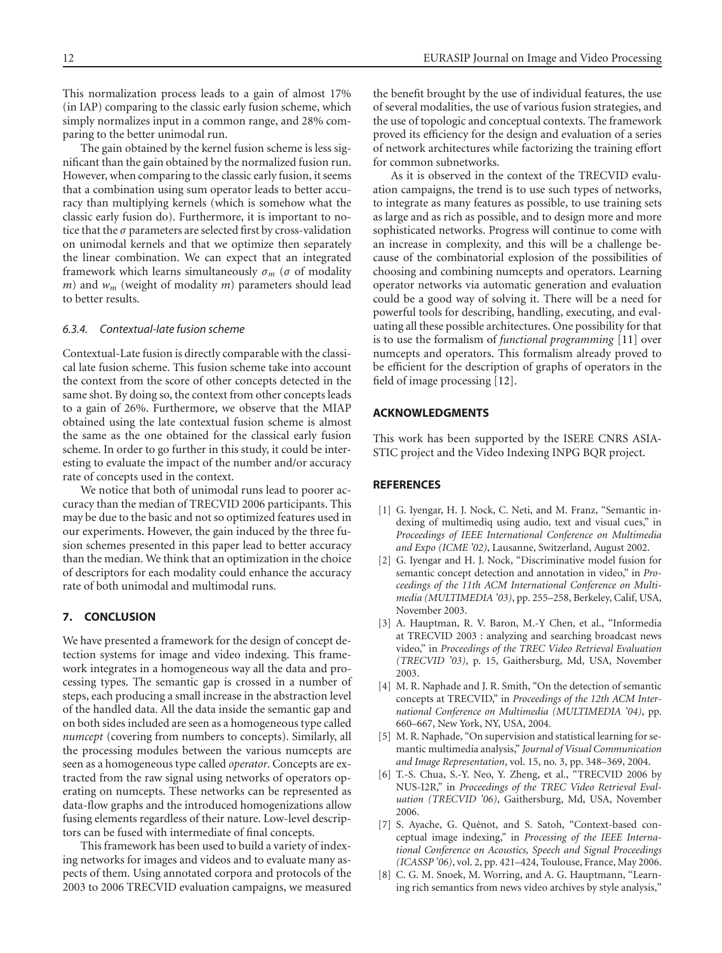This normalization process leads to a gain of almost 17% (in IAP) comparing to the classic early fusion scheme, which simply normalizes input in a common range, and 28% comparing to the better unimodal run.

The gain obtained by the kernel fusion scheme is less significant than the gain obtained by the normalized fusion run. However, when comparing to the classic early fusion, it seems that a combination using sum operator leads to better accuracy than multiplying kernels (which is somehow what the classic early fusion do). Furthermore, it is important to notice that the *σ* parameters are selected first by cross-validation on unimodal kernels and that we optimize then separately the linear combination. We can expect that an integrated framework which learns simultaneously  $\sigma_m$  ( $\sigma$  of modality *m*) and *wm* (weight of modality *m*) parameters should lead to better results.

#### *6.3.4. Contextual-late fusion scheme*

Contextual-Late fusion is directly comparable with the classical late fusion scheme. This fusion scheme take into account the context from the score of other concepts detected in the same shot. By doing so, the context from other concepts leads to a gain of 26%. Furthermore, we observe that the MIAP obtained using the late contextual fusion scheme is almost the same as the one obtained for the classical early fusion scheme. In order to go further in this study, it could be interesting to evaluate the impact of the number and/or accuracy rate of concepts used in the context.

We notice that both of unimodal runs lead to poorer accuracy than the median of TRECVID 2006 participants. This may be due to the basic and not so optimized features used in our experiments. However, the gain induced by the three fusion schemes presented in this paper lead to better accuracy than the median. We think that an optimization in the choice of descriptors for each modality could enhance the accuracy rate of both unimodal and multimodal runs.

## **7. CONCLUSION**

We have presented a framework for the design of concept detection systems for image and video indexing. This framework integrates in a homogeneous way all the data and processing types. The semantic gap is crossed in a number of steps, each producing a small increase in the abstraction level of the handled data. All the data inside the semantic gap and on both sides included are seen as a homogeneous type called *numcept* (covering from numbers to concepts). Similarly, all the processing modules between the various numcepts are seen as a homogeneous type called *operator*. Concepts are extracted from the raw signal using networks of operators operating on numcepts. These networks can be represented as data-flow graphs and the introduced homogenizations allow fusing elements regardless of their nature. Low-level descriptors can be fused with intermediate of final concepts.

This framework has been used to build a variety of indexing networks for images and videos and to evaluate many aspects of them. Using annotated corpora and protocols of the 2003 to 2006 TRECVID evaluation campaigns, we measured the benefit brought by the use of individual features, the use of several modalities, the use of various fusion strategies, and the use of topologic and conceptual contexts. The framework proved its efficiency for the design and evaluation of a series of network architectures while factorizing the training effort for common subnetworks.

As it is observed in the context of the TRECVID evaluation campaigns, the trend is to use such types of networks, to integrate as many features as possible, to use training sets as large and as rich as possible, and to design more and more sophisticated networks. Progress will continue to come with an increase in complexity, and this will be a challenge because of the combinatorial explosion of the possibilities of choosing and combining numcepts and operators. Learning operator networks via automatic generation and evaluation could be a good way of solving it. There will be a need for powerful tools for describing, handling, executing, and evaluating all these possible architectures. One possibility for that is to use the formalism of *functional programming* [\[11\]](#page-12-2) over numcepts and operators. This formalism already proved to be efficient for the description of graphs of operators in the field of image processing [\[12\]](#page-12-3).

## **ACKNOWLEDGMENTS**

This work has been supported by the ISERE CNRS ASIA-STIC project and the Video Indexing INPG BQR project.

## <span id="page-11-0"></span>**REFERENCES**

- <span id="page-11-1"></span>[1] G. Iyengar, H. J. Nock, C. Neti, and M. Franz, "Semantic indexing of multimediq using audio, text and visual cues," in *Proceedings of IEEE International Conference on Multimedia and Expo (ICME '02)*, Lausanne, Switzerland, August 2002.
- [2] G. Iyengar and H. J. Nock, "Discriminative model fusion for semantic concept detection and annotation in video," in *Proceedings of the 11th ACM International Conference on Multimedia (MULTIMEDIA '03)*, pp. 255–258, Berkeley, Calif, USA, November 2003.
- [3] A. Hauptman, R. V. Baron, M.-Y Chen, et al., "Informedia at TRECVID 2003 : analyzing and searching broadcast news video," in *Proceedings of the TREC Video Retrieval Evaluation (TRECVID '03)*, p. 15, Gaithersburg, Md, USA, November 2003.
- [4] M. R. Naphade and J. R. Smith, "On the detection of semantic concepts at TRECVID," in *Proceedings of the 12th ACM International Conference on Multimedia (MULTIMEDIA '04)*, pp. 660–667, New York, NY, USA, 2004.
- <span id="page-11-3"></span>[5] M. R. Naphade, "On supervision and statistical learning for semantic multimedia analysis," *Journal of Visual Communication and Image Representation*, vol. 15, no. 3, pp. 348–369, 2004.
- [6] T.-S. Chua, S.-Y. Neo, Y. Zheng, et al., "TRECVID 2006 by NUS-I2R," in *Proceedings of the TREC Video Retrieval Evaluation (TRECVID '06)*, Gaithersburg, Md, USA, November 2006.
- <span id="page-11-2"></span>[7] S. Ayache, G. Quénot, and S. Satoh, "Context-based conceptual image indexing," in *Processing of the IEEE International Conference on Acoustics, Speech and Signal Proceedings (ICASSP '06)*, vol. 2, pp. 421–424, Toulouse, France, May 2006.
- [8] C. G. M. Snoek, M. Worring, and A. G. Hauptmann, "Learning rich semantics from news video archives by style analysis,"